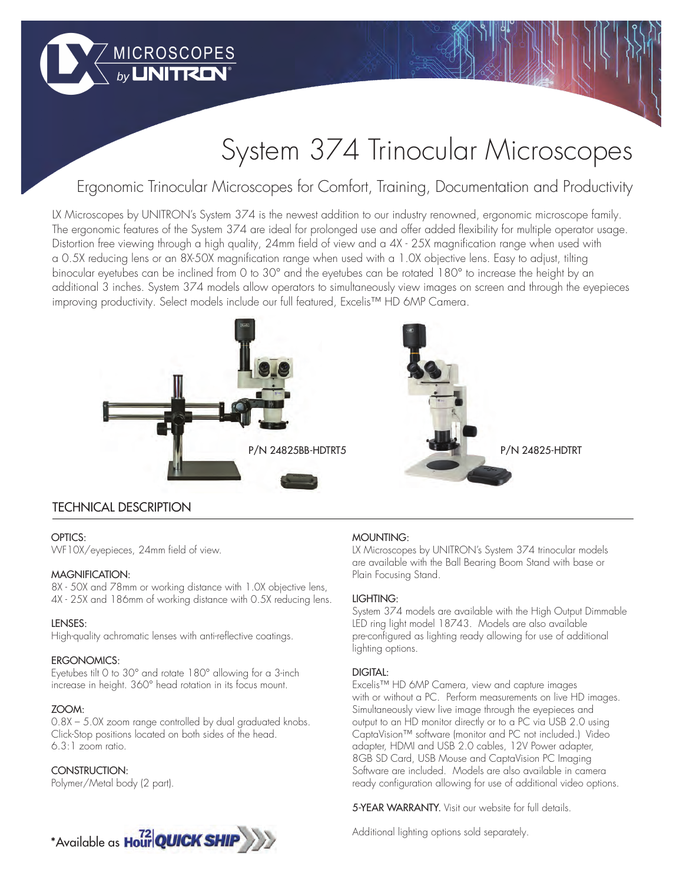# System 374 Trinocular Microscopes

## Ergonomic Trinocular Microscopes for Comfort, Training, Documentation and Productivity

LX Microscopes by UNITRON's System 374 is the newest addition to our industry renowned, ergonomic microscope family. The ergonomic features of the System 374 are ideal for prolonged use and offer added flexibility for multiple operator usage. Distortion free viewing through a high quality, 24mm field of view and a 4X - 25X magnification range when used with a 0.5X reducing lens or an 8X-50X magnification range when used with a 1.0X objective lens. Easy to adjust, tilting binocular eyetubes can be inclined from 0 to 30° and the eyetubes can be rotated 180° to increase the height by an additional 3 inches. System 374 models allow operators to simultaneously view images on screen and through the eyepieces improving productivity. Select models include our full featured, Excelis™ HD 6MP Camera.



### TECHNICAL DESCRIPTION

#### OPTICS:

WF10X/eyepieces, 24mm field of view.

#### MAGNIFICATION:

8X - 50X and 78mm or working distance with 1.0X objective lens, 4X - 25X and 186mm of working distance with 0.5X reducing lens.

#### LENSES:

High-quality achromatic lenses with anti-reflective coatings.

MICROSCOPES

#### ERGONOMICS:

Eyetubes tilt 0 to 30° and rotate 180° allowing for a 3-inch increase in height. 360° head rotation in its focus mount.

#### ZOOM:

0.8X – 5.0X zoom range controlled by dual graduated knobs. Click-Stop positions located on both sides of the head. 6.3:1 zoom ratio.

#### CONSTRUCTION:

Polymer/Metal body (2 part).



#### MOUNTING:

LX Microscopes by UNITRON's System 374 trinocular models are available with the Ball Bearing Boom Stand with base or Plain Focusing Stand.

#### LIGHTING:

System 374 models are available with the High Output Dimmable LED ring light model 18743. Models are also available pre-configured as lighting ready allowing for use of additional lighting options.

#### DIGITAL:

Excelis™ HD 6MP Camera, view and capture images with or without a PC. Perform measurements on live HD images. Simultaneously view live image through the eyepieces and output to an HD monitor directly or to a PC via USB 2.0 using CaptaVision™ software (monitor and PC not included.) Video adapter, HDMI and USB 2.0 cables, 12V Power adapter, 8GB SD Card, USB Mouse and CaptaVision PC Imaging Software are included. Models are also available in camera ready configuration allowing for use of additional video options.

5-YEAR WARRANTY. Visit our website for full details.

Additional lighting options sold separately.